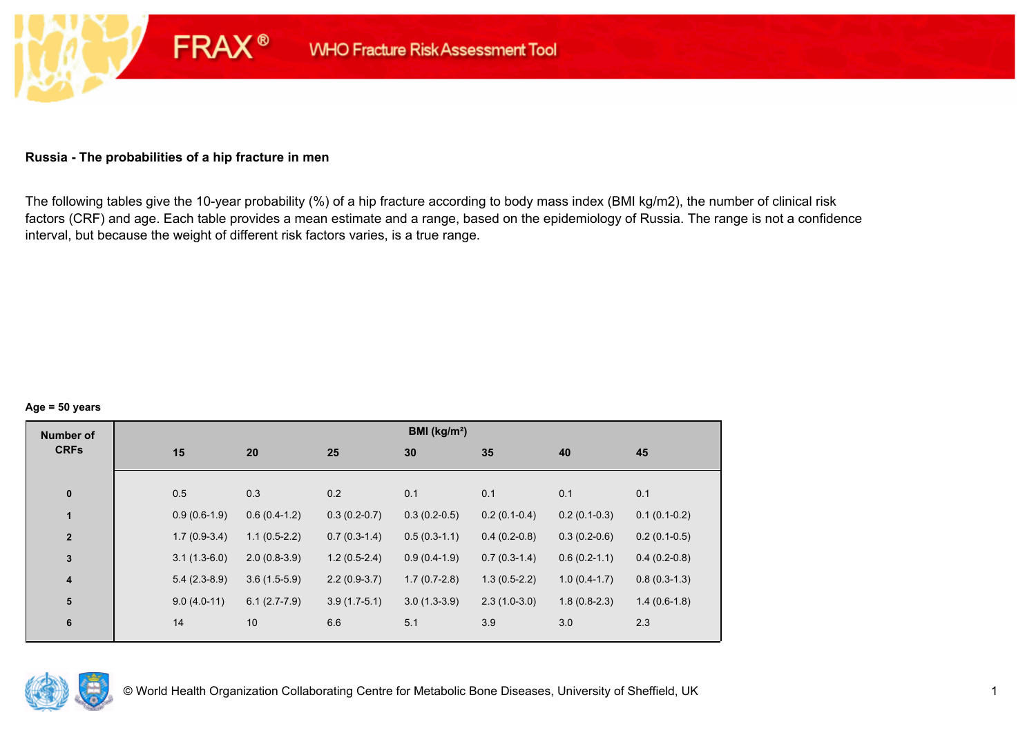#### **Russia - The probabilities of a hip fracture in men**

**FRAX®** 

The following tables give the 10-year probability (%) of a hip fracture according to body mass index (BMI kg/m2), the number of clinical risk factors (CRF) and age. Each table provides a mean estimate and a range, based on the epidemiology of Russia. The range is not a confidence interval, but because the weight of different risk factors varies, is a true range.

#### **Age = 50 years**

| <b>Number of</b> |                |                |                | BMI (kg/m <sup>2</sup> ) |                |                |                |
|------------------|----------------|----------------|----------------|--------------------------|----------------|----------------|----------------|
| <b>CRFs</b>      | 15             | 20             | 25             | 30                       | 35             | 40             | 45             |
|                  |                |                |                |                          |                |                |                |
| $\pmb{0}$        | 0.5            | 0.3            | 0.2            | 0.1                      | 0.1            | 0.1            | 0.1            |
| $\mathbf{1}$     | $0.9(0.6-1.9)$ | $0.6(0.4-1.2)$ | $0.3(0.2-0.7)$ | $0.3(0.2-0.5)$           | $0.2(0.1-0.4)$ | $0.2(0.1-0.3)$ | $0.1(0.1-0.2)$ |
| $\overline{2}$   | $1.7(0.9-3.4)$ | $1.1(0.5-2.2)$ | $0.7(0.3-1.4)$ | $0.5(0.3-1.1)$           | $0.4(0.2-0.8)$ | $0.3(0.2-0.6)$ | $0.2(0.1-0.5)$ |
| $\mathbf 3$      | $3.1(1.3-6.0)$ | $2.0(0.8-3.9)$ | $1.2(0.5-2.4)$ | $0.9(0.4-1.9)$           | $0.7(0.3-1.4)$ | $0.6(0.2-1.1)$ | $0.4(0.2-0.8)$ |
| 4                | $5.4(2.3-8.9)$ | $3.6(1.5-5.9)$ | $2.2(0.9-3.7)$ | $1.7(0.7-2.8)$           | $1.3(0.5-2.2)$ | $1.0(0.4-1.7)$ | $0.8(0.3-1.3)$ |
| 5                | $9.0(4.0-11)$  | $6.1(2.7-7.9)$ | $3.9(1.7-5.1)$ | $3.0(1.3-3.9)$           | $2.3(1.0-3.0)$ | $1.8(0.8-2.3)$ | $1.4(0.6-1.8)$ |
| $\bf 6$          | 14             | 10             | 6.6            | 5.1                      | 3.9            | 3.0            | 2.3            |
|                  |                |                |                |                          |                |                |                |

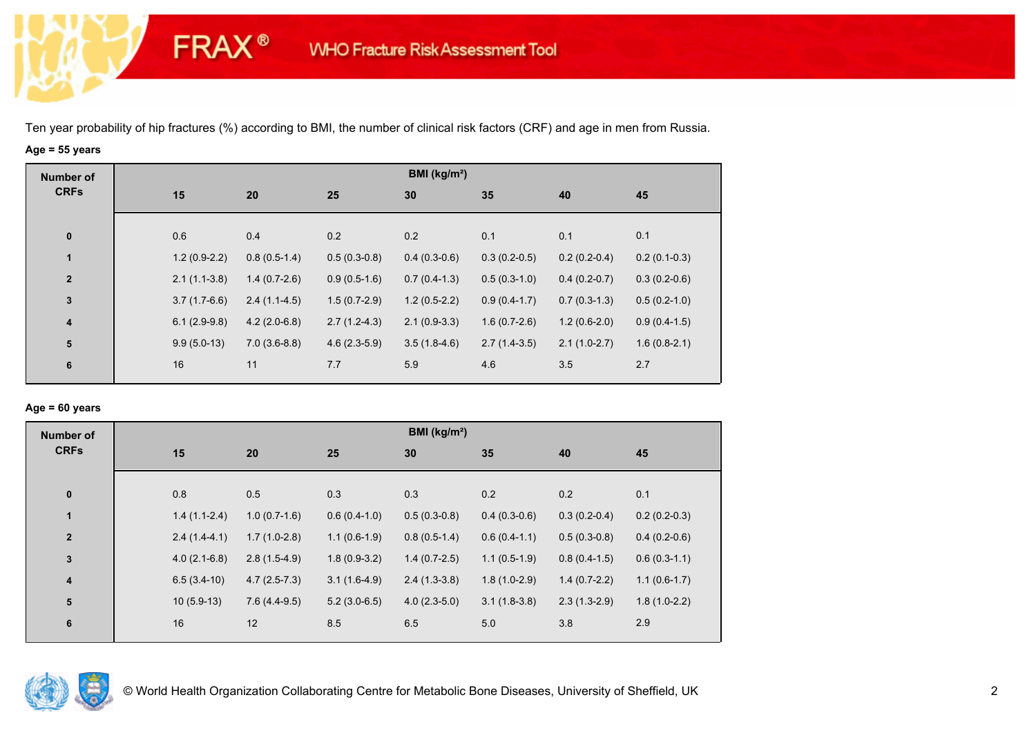**FRAX®** 

# **Age = 55 years**

| <b>Number of</b>        |                |                |                | BMI ( $kg/m2$ ) |                |                |                |
|-------------------------|----------------|----------------|----------------|-----------------|----------------|----------------|----------------|
| <b>CRFs</b>             | 15             | 20             | 25             | 30              | 35             | 40             | 45             |
|                         |                |                |                |                 |                |                |                |
| $\bf{0}$                | 0.6            | 0.4            | 0.2            | 0.2             | 0.1            | 0.1            | 0.1            |
| 1                       | $1.2(0.9-2.2)$ | $0.8(0.5-1.4)$ | $0.5(0.3-0.8)$ | $0.4(0.3-0.6)$  | $0.3(0.2-0.5)$ | $0.2(0.2-0.4)$ | $0.2(0.1-0.3)$ |
| $\overline{2}$          | $2.1(1.1-3.8)$ | $1.4(0.7-2.6)$ | $0.9(0.5-1.6)$ | $0.7(0.4-1.3)$  | $0.5(0.3-1.0)$ | $0.4(0.2-0.7)$ | $0.3(0.2-0.6)$ |
| $\mathbf 3$             | $3.7(1.7-6.6)$ | $2.4(1.1-4.5)$ | $1.5(0.7-2.9)$ | $1.2(0.5-2.2)$  | $0.9(0.4-1.7)$ | $0.7(0.3-1.3)$ | $0.5(0.2-1.0)$ |
| $\overline{\mathbf{4}}$ | $6.1(2.9-9.8)$ | $4.2(2.0-6.8)$ | $2.7(1.2-4.3)$ | $2.1(0.9-3.3)$  | $1.6(0.7-2.6)$ | $1.2(0.6-2.0)$ | $0.9(0.4-1.5)$ |
| ${\bf 5}$               | $9.9(5.0-13)$  | $7.0(3.6-8.8)$ | $4.6(2.3-5.9)$ | $3.5(1.8-4.6)$  | $2.7(1.4-3.5)$ | $2.1(1.0-2.7)$ | $1.6(0.8-2.1)$ |
| 6                       | 16             | 11             | 7.7            | 5.9             | 4.6            | 3.5            | 2.7            |
|                         |                |                |                |                 |                |                |                |

## **Age = 60 years**

| <b>Number of</b> |                |                |                | BMI ( $kg/m2$ ) |                |                |                |
|------------------|----------------|----------------|----------------|-----------------|----------------|----------------|----------------|
| <b>CRFs</b>      | 15             | 20             | 25             | 30              | 35             | 40             | 45             |
| $\pmb{0}$        | 0.8            | 0.5            | 0.3            | 0.3             | 0.2            | 0.2            | 0.1            |
| $\mathbf{1}$     | $1.4(1.1-2.4)$ | $1.0(0.7-1.6)$ | $0.6(0.4-1.0)$ | $0.5(0.3-0.8)$  | $0.4(0.3-0.6)$ | $0.3(0.2-0.4)$ | $0.2(0.2-0.3)$ |
| $\overline{2}$   | $2.4(1.4-4.1)$ | $1.7(1.0-2.8)$ | $1.1(0.6-1.9)$ | $0.8(0.5-1.4)$  | $0.6(0.4-1.1)$ | $0.5(0.3-0.8)$ | $0.4(0.2-0.6)$ |
| 3                | $4.0(2.1-6.8)$ | $2.8(1.5-4.9)$ | $1.8(0.9-3.2)$ | $1.4(0.7-2.5)$  | $1.1(0.5-1.9)$ | $0.8(0.4-1.5)$ | $0.6(0.3-1.1)$ |
| 4                | $6.5(3.4-10)$  | $4.7(2.5-7.3)$ | $3.1(1.6-4.9)$ | $2.4(1.3-3.8)$  | $1.8(1.0-2.9)$ | $1.4(0.7-2.2)$ | $1.1(0.6-1.7)$ |
| ${\bf 5}$        | $10(5.9-13)$   | $7.6(4.4-9.5)$ | $5.2(3.0-6.5)$ | $4.0(2.3-5.0)$  | $3.1(1.8-3.8)$ | $2.3(1.3-2.9)$ | $1.8(1.0-2.2)$ |
| 6                | $16\,$         | 12             | 8.5            | 6.5             | 5.0            | 3.8            | 2.9            |

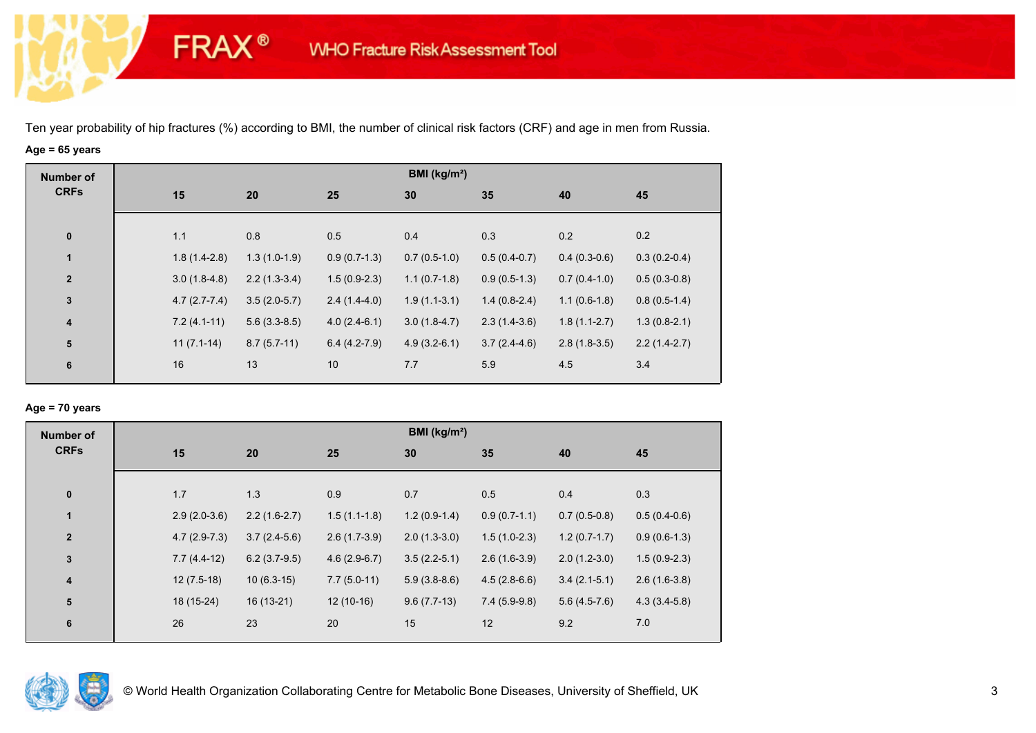**FRAX®** 

# **Age = 65 years**

| <b>Number of</b> |                |                |                | BMI ( $kg/m2$ ) |                |                |                |
|------------------|----------------|----------------|----------------|-----------------|----------------|----------------|----------------|
| <b>CRFs</b>      | 15             | 20             | 25             | 30              | 35             | 40             | 45             |
|                  |                |                |                |                 |                |                |                |
| $\pmb{0}$        | 1.1            | 0.8            | 0.5            | 0.4             | 0.3            | 0.2            | 0.2            |
| 1                | $1.8(1.4-2.8)$ | $1.3(1.0-1.9)$ | $0.9(0.7-1.3)$ | $0.7(0.5-1.0)$  | $0.5(0.4-0.7)$ | $0.4(0.3-0.6)$ | $0.3(0.2-0.4)$ |
| $\overline{2}$   | $3.0(1.8-4.8)$ | $2.2(1.3-3.4)$ | $1.5(0.9-2.3)$ | $1.1(0.7-1.8)$  | $0.9(0.5-1.3)$ | $0.7(0.4-1.0)$ | $0.5(0.3-0.8)$ |
| $\mathbf 3$      | $4.7(2.7-7.4)$ | $3.5(2.0-5.7)$ | $2.4(1.4-4.0)$ | $1.9(1.1-3.1)$  | $1.4(0.8-2.4)$ | $1.1(0.6-1.8)$ | $0.8(0.5-1.4)$ |
| $\boldsymbol{4}$ | $7.2(4.1-11)$  | $5.6(3.3-8.5)$ | $4.0(2.4-6.1)$ | $3.0(1.8-4.7)$  | $2.3(1.4-3.6)$ | $1.8(1.1-2.7)$ | $1.3(0.8-2.1)$ |
| 5                | $11(7.1-14)$   | $8.7(5.7-11)$  | $6.4(4.2-7.9)$ | $4.9(3.2-6.1)$  | $3.7(2.4-4.6)$ | $2.8(1.8-3.5)$ | $2.2(1.4-2.7)$ |
| 6                | 16             | 13             | 10             | 7.7             | 5.9            | 4.5            | 3.4            |

## **Age = 70 years**

| <b>Number of</b>        |                |                |                | BMI (kg/m <sup>2</sup> ) |                |                |                |
|-------------------------|----------------|----------------|----------------|--------------------------|----------------|----------------|----------------|
| <b>CRFs</b>             | 15             | 20             | 25             | 30                       | 35             | 40             | 45             |
|                         |                |                |                |                          |                |                |                |
| $\pmb{0}$               | 1.7            | 1.3            | 0.9            | 0.7                      | 0.5            | 0.4            | 0.3            |
| 1                       | $2.9(2.0-3.6)$ | $2.2(1.6-2.7)$ | $1.5(1.1-1.8)$ | $1.2(0.9-1.4)$           | $0.9(0.7-1.1)$ | $0.7(0.5-0.8)$ | $0.5(0.4-0.6)$ |
| $\overline{2}$          | $4.7(2.9-7.3)$ | $3.7(2.4-5.6)$ | $2.6(1.7-3.9)$ | $2.0(1.3-3.0)$           | $1.5(1.0-2.3)$ | $1.2(0.7-1.7)$ | $0.9(0.6-1.3)$ |
| 3                       | $7.7(4.4-12)$  | $6.2(3.7-9.5)$ | $4.6(2.9-6.7)$ | $3.5(2.2-5.1)$           | $2.6(1.6-3.9)$ | $2.0(1.2-3.0)$ | $1.5(0.9-2.3)$ |
| $\overline{\mathbf{4}}$ | $12(7.5-18)$   | $10(6.3-15)$   | $7.7(5.0-11)$  | $5.9(3.8-8.6)$           | $4.5(2.8-6.6)$ | $3.4(2.1-5.1)$ | $2.6(1.6-3.8)$ |
| 5                       | 18 (15-24)     | $16(13-21)$    | $12(10-16)$    | $9.6(7.7-13)$            | $7.4(5.9-9.8)$ | $5.6(4.5-7.6)$ | $4.3(3.4-5.8)$ |
| 6                       | 26             | 23             | 20             | 15                       | 12             | 9.2            | 7.0            |

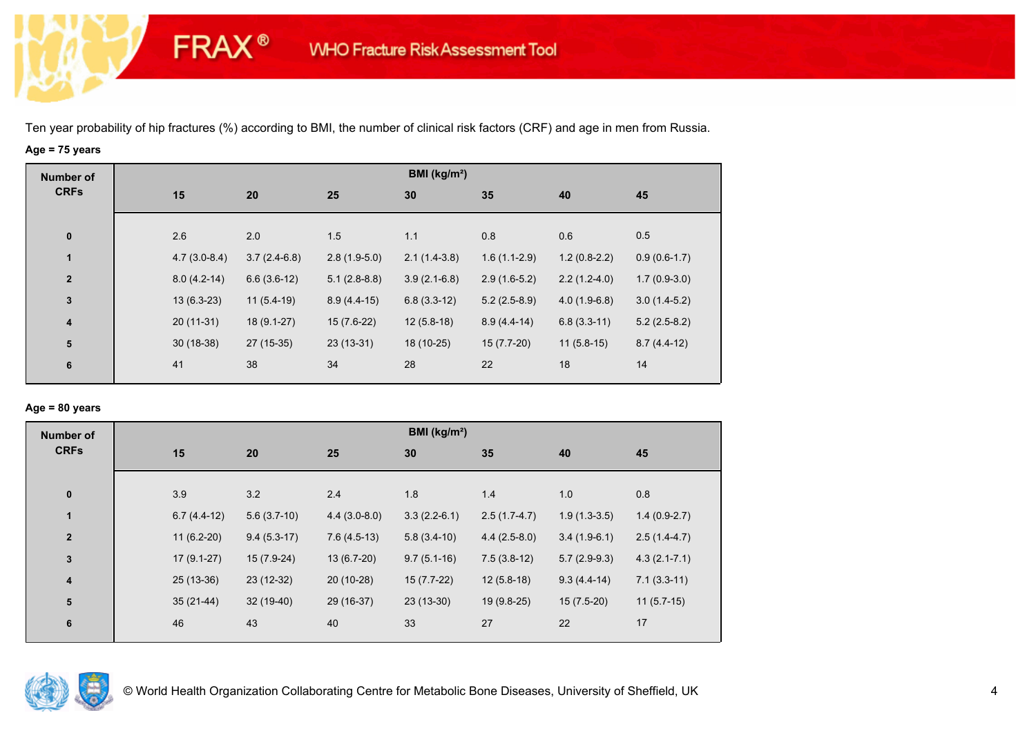**FRAX®** 

# **Age = 75 years**

| <b>Number of</b>        |                |                |                | BMI (kg/m <sup>2</sup> ) |                |                |                |
|-------------------------|----------------|----------------|----------------|--------------------------|----------------|----------------|----------------|
| <b>CRFs</b>             | 15             | 20             | 25             | 30                       | 35             | 40             | 45             |
|                         |                |                |                |                          |                |                |                |
| $\pmb{0}$               | 2.6            | 2.0            | 1.5            | 1.1                      | 0.8            | 0.6            | 0.5            |
| 1                       | $4.7(3.0-8.4)$ | $3.7(2.4-6.8)$ | $2.8(1.9-5.0)$ | $2.1(1.4-3.8)$           | $1.6(1.1-2.9)$ | $1.2(0.8-2.2)$ | $0.9(0.6-1.7)$ |
| $\mathbf{2}$            | $8.0(4.2-14)$  | $6.6(3.6-12)$  | $5.1(2.8-8.8)$ | $3.9(2.1-6.8)$           | $2.9(1.6-5.2)$ | $2.2(1.2-4.0)$ | $1.7(0.9-3.0)$ |
| $\mathbf 3$             | $13(6.3-23)$   | $11(5.4-19)$   | $8.9(4.4-15)$  | $6.8(3.3-12)$            | $5.2(2.5-8.9)$ | $4.0(1.9-6.8)$ | $3.0(1.4-5.2)$ |
| 4                       | $20(11-31)$    | $18(9.1-27)$   | $15(7.6-22)$   | $12(5.8-18)$             | $8.9(4.4-14)$  | $6.8(3.3-11)$  | $5.2(2.5-8.2)$ |
| $\overline{\mathbf{5}}$ | $30(18-38)$    | 27 (15-35)     | $23(13-31)$    | 18 (10-25)               | $15(7.7-20)$   | $11(5.8-15)$   | $8.7(4.4-12)$  |
| 6                       | 41             | 38             | 34             | 28                       | 22             | 18             | 14             |
|                         |                |                |                |                          |                |                |                |

## **Age = 80 years**

| <b>Number of</b> |    |               |               |                | BMI ( $kg/m2$ ) |                |                |                  |
|------------------|----|---------------|---------------|----------------|-----------------|----------------|----------------|------------------|
| <b>CRFs</b>      |    | 15            | 20            | 25             | 30              | 35             | 40             | 45               |
|                  |    |               |               |                |                 |                |                |                  |
| $\pmb{0}$        |    | 3.9           | 3.2           | 2.4            | 1.8             | 1.4            | 1.0            | 0.8              |
| $\mathbf{1}$     |    | $6.7(4.4-12)$ | $5.6(3.7-10)$ | $4.4(3.0-8.0)$ | $3.3(2.2-6.1)$  | $2.5(1.7-4.7)$ | $1.9(1.3-3.5)$ | $1.4(0.9-2.7)$   |
| $\mathbf{2}$     |    | $11(6.2-20)$  | $9.4(5.3-17)$ | $7.6(4.5-13)$  | $5.8(3.4-10)$   | $4.4(2.5-8.0)$ | $3.4(1.9-6.1)$ | $2.5(1.4-4.7)$   |
| 3                |    | $17(9.1-27)$  | $15(7.9-24)$  | $13(6.7-20)$   | $9.7(5.1-16)$   | $7.5(3.8-12)$  | $5.7(2.9-9.3)$ | $4.3(2.1 - 7.1)$ |
| 4                |    | $25(13-36)$   | $23(12-32)$   | 20 (10-28)     | $15(7.7-22)$    | $12(5.8-18)$   | $9.3(4.4-14)$  | $7.1(3.3-11)$    |
| ${\bf 5}$        |    | $35(21-44)$   | 32 (19-40)    | 29 (16-37)     | $23(13-30)$     | 19 (9.8-25)    | $15(7.5-20)$   | $11(5.7-15)$     |
| 6                | 46 |               | 43            | 40             | 33              | 27             | 22             | 17               |
|                  |    |               |               |                |                 |                |                |                  |